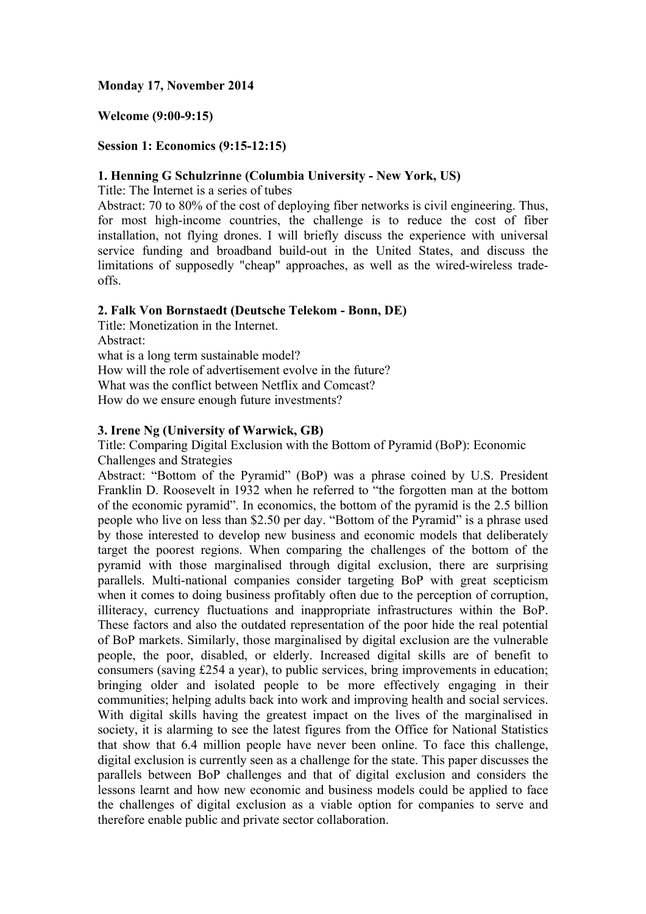# **Monday 17, November 2014**

# **Welcome (9:00-9:15)**

#### **Session 1: Economics (9:15-12:15)**

#### **1. Henning G Schulzrinne (Columbia University - New York, US)**

Title: The Internet is a series of tubes

Abstract: 70 to 80% of the cost of deploying fiber networks is civil engineering. Thus, for most high-income countries, the challenge is to reduce the cost of fiber installation, not flying drones. I will briefly discuss the experience with universal service funding and broadband build-out in the United States, and discuss the limitations of supposedly "cheap" approaches, as well as the wired-wireless tradeoffs.

# **2. Falk Von Bornstaedt (Deutsche Telekom - Bonn, DE)**

Title: Monetization in the Internet. Abstract: what is a long term sustainable model? How will the role of advertisement evolve in the future? What was the conflict between Netflix and Comcast? How do we ensure enough future investments?

# **3. Irene Ng (University of Warwick, GB)**

Title: Comparing Digital Exclusion with the Bottom of Pyramid (BoP): Economic Challenges and Strategies

Abstract: "Bottom of the Pyramid" (BoP) was a phrase coined by U.S. President Franklin D. Roosevelt in 1932 when he referred to "the forgotten man at the bottom of the economic pyramid". In economics, the bottom of the pyramid is the 2.5 billion people who live on less than \$2.50 per day. "Bottom of the Pyramid" is a phrase used by those interested to develop new business and economic models that deliberately target the poorest regions. When comparing the challenges of the bottom of the pyramid with those marginalised through digital exclusion, there are surprising parallels. Multi-national companies consider targeting BoP with great scepticism when it comes to doing business profitably often due to the perception of corruption, illiteracy, currency fluctuations and inappropriate infrastructures within the BoP. These factors and also the outdated representation of the poor hide the real potential of BoP markets. Similarly, those marginalised by digital exclusion are the vulnerable people, the poor, disabled, or elderly. Increased digital skills are of benefit to consumers (saving £254 a year), to public services, bring improvements in education; bringing older and isolated people to be more effectively engaging in their communities; helping adults back into work and improving health and social services. With digital skills having the greatest impact on the lives of the marginalised in society, it is alarming to see the latest figures from the Office for National Statistics that show that 6.4 million people have never been online. To face this challenge, digital exclusion is currently seen as a challenge for the state. This paper discusses the parallels between BoP challenges and that of digital exclusion and considers the lessons learnt and how new economic and business models could be applied to face the challenges of digital exclusion as a viable option for companies to serve and therefore enable public and private sector collaboration.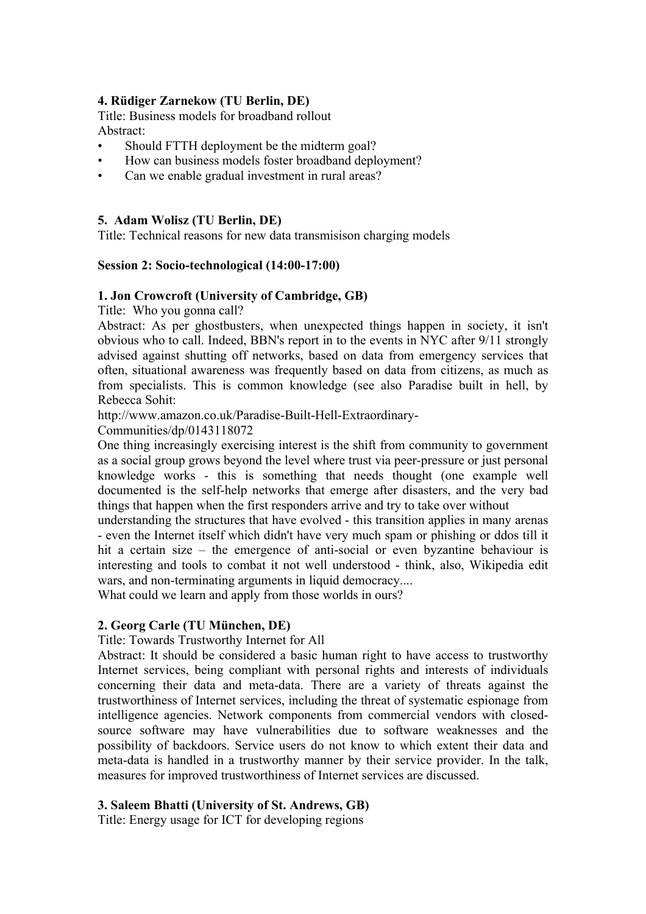# **4. Rüdiger Zarnekow (TU Berlin, DE)**

Title: Business models for broadband rollout Abstract:

- Should FTTH deployment be the midterm goal?
- How can business models foster broadband deployment?
- Can we enable gradual investment in rural areas?

# **5. Adam Wolisz (TU Berlin, DE)**

Title: Technical reasons for new data transmisison charging models

# **Session 2: Socio-technological (14:00-17:00)**

#### **1. Jon Crowcroft (University of Cambridge, GB)**

Title: Who you gonna call?

Abstract: As per ghostbusters, when unexpected things happen in society, it isn't obvious who to call. Indeed, BBN's report in to the events in NYC after 9/11 strongly advised against shutting off networks, based on data from emergency services that often, situational awareness was frequently based on data from citizens, as much as from specialists. This is common knowledge (see also Paradise built in hell, by Rebecca Sohit:

http://www.amazon.co.uk/Paradise-Built-Hell-Extraordinary-

Communities/dp/0143118072

One thing increasingly exercising interest is the shift from community to government as a social group grows beyond the level where trust via peer-pressure or just personal knowledge works - this is something that needs thought (one example well documented is the self-help networks that emerge after disasters, and the very bad things that happen when the first responders arrive and try to take over without

understanding the structures that have evolved - this transition applies in many arenas - even the Internet itself which didn't have very much spam or phishing or ddos till it hit a certain size – the emergence of anti-social or even byzantine behaviour is interesting and tools to combat it not well understood - think, also, Wikipedia edit wars, and non-terminating arguments in liquid democracy....

What could we learn and apply from those worlds in ours?

# **2. Georg Carle (TU München, DE)**

Title: Towards Trustworthy Internet for All

Abstract: It should be considered a basic human right to have access to trustworthy Internet services, being compliant with personal rights and interests of individuals concerning their data and meta-data. There are a variety of threats against the trustworthiness of Internet services, including the threat of systematic espionage from intelligence agencies. Network components from commercial vendors with closedsource software may have vulnerabilities due to software weaknesses and the possibility of backdoors. Service users do not know to which extent their data and meta-data is handled in a trustworthy manner by their service provider. In the talk, measures for improved trustworthiness of Internet services are discussed.

#### **3. Saleem Bhatti (University of St. Andrews, GB)**

Title: Energy usage for ICT for developing regions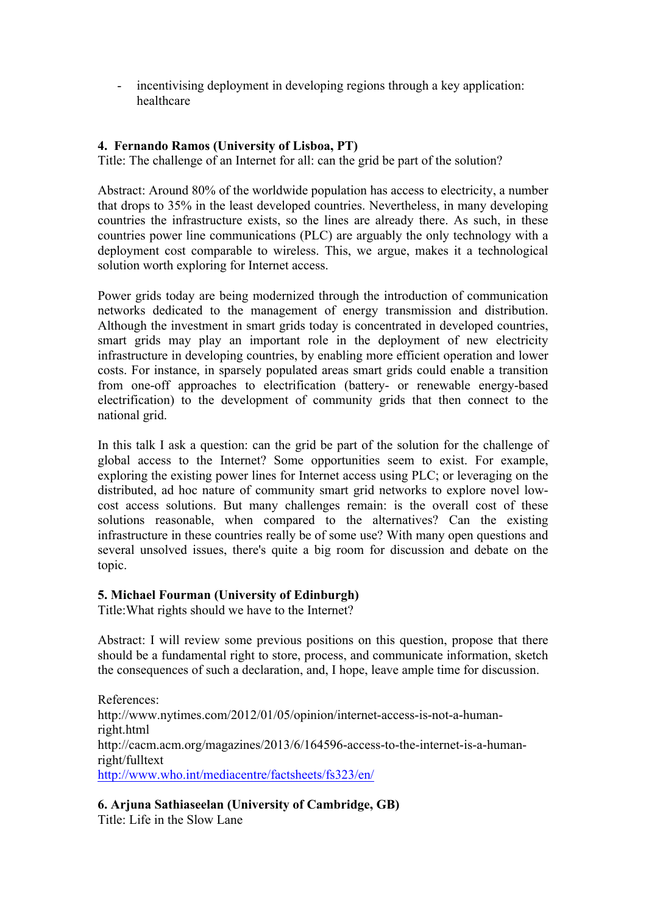- incentivising deployment in developing regions through a key application: healthcare

# **4. Fernando Ramos (University of Lisboa, PT)**

Title: The challenge of an Internet for all: can the grid be part of the solution?

Abstract: Around 80% of the worldwide population has access to electricity, a number that drops to 35% in the least developed countries. Nevertheless, in many developing countries the infrastructure exists, so the lines are already there. As such, in these countries power line communications (PLC) are arguably the only technology with a deployment cost comparable to wireless. This, we argue, makes it a technological solution worth exploring for Internet access.

Power grids today are being modernized through the introduction of communication networks dedicated to the management of energy transmission and distribution. Although the investment in smart grids today is concentrated in developed countries, smart grids may play an important role in the deployment of new electricity infrastructure in developing countries, by enabling more efficient operation and lower costs. For instance, in sparsely populated areas smart grids could enable a transition from one-off approaches to electrification (battery- or renewable energy-based electrification) to the development of community grids that then connect to the national grid.

In this talk I ask a question: can the grid be part of the solution for the challenge of global access to the Internet? Some opportunities seem to exist. For example, exploring the existing power lines for Internet access using PLC; or leveraging on the distributed, ad hoc nature of community smart grid networks to explore novel lowcost access solutions. But many challenges remain: is the overall cost of these solutions reasonable, when compared to the alternatives? Can the existing infrastructure in these countries really be of some use? With many open questions and several unsolved issues, there's quite a big room for discussion and debate on the topic.

# **5. Michael Fourman (University of Edinburgh)**

Title:What rights should we have to the Internet?

Abstract: I will review some previous positions on this question, propose that there should be a fundamental right to store, process, and communicate information, sketch the consequences of such a declaration, and, I hope, leave ample time for discussion.

References: http://www.nytimes.com/2012/01/05/opinion/internet-access-is-not-a-humanright.html http://cacm.acm.org/magazines/2013/6/164596-access-to-the-internet-is-a-humanright/fulltext http://www.who.int/mediacentre/factsheets/fs323/en/

# **6. Arjuna Sathiaseelan (University of Cambridge, GB)**

Title: Life in the Slow Lane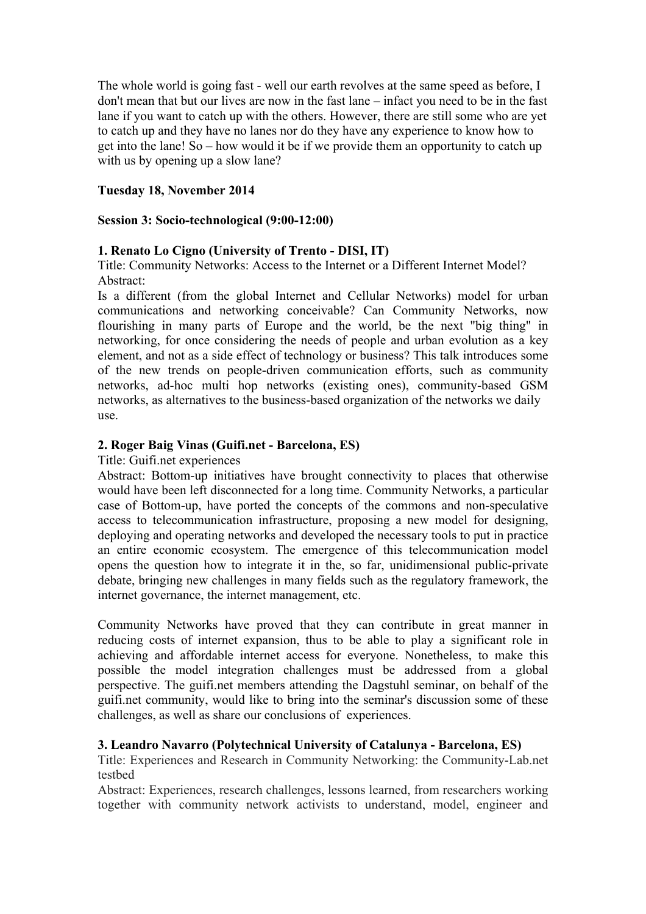The whole world is going fast - well our earth revolves at the same speed as before, I don't mean that but our lives are now in the fast lane – infact you need to be in the fast lane if you want to catch up with the others. However, there are still some who are yet to catch up and they have no lanes nor do they have any experience to know how to get into the lane! So – how would it be if we provide them an opportunity to catch up with us by opening up a slow lane?

# **Tuesday 18, November 2014**

#### **Session 3: Socio-technological (9:00-12:00)**

# **1. Renato Lo Cigno (University of Trento - DISI, IT)**

Title: Community Networks: Access to the Internet or a Different Internet Model? Abstract:

Is a different (from the global Internet and Cellular Networks) model for urban communications and networking conceivable? Can Community Networks, now flourishing in many parts of Europe and the world, be the next "big thing" in networking, for once considering the needs of people and urban evolution as a key element, and not as a side effect of technology or business? This talk introduces some of the new trends on people-driven communication efforts, such as community networks, ad-hoc multi hop networks (existing ones), community-based GSM networks, as alternatives to the business-based organization of the networks we daily use.

# **2. Roger Baig Vinas (Guifi.net - Barcelona, ES)**

Title: Guifi.net experiences

Abstract: Bottom-up initiatives have brought connectivity to places that otherwise would have been left disconnected for a long time. Community Networks, a particular case of Bottom-up, have ported the concepts of the commons and non-speculative access to telecommunication infrastructure, proposing a new model for designing, deploying and operating networks and developed the necessary tools to put in practice an entire economic ecosystem. The emergence of this telecommunication model opens the question how to integrate it in the, so far, unidimensional public-private debate, bringing new challenges in many fields such as the regulatory framework, the internet governance, the internet management, etc.

Community Networks have proved that they can contribute in great manner in reducing costs of internet expansion, thus to be able to play a significant role in achieving and affordable internet access for everyone. Nonetheless, to make this possible the model integration challenges must be addressed from a global perspective. The guifi.net members attending the Dagstuhl seminar, on behalf of the guifi.net community, would like to bring into the seminar's discussion some of these challenges, as well as share our conclusions of experiences.

#### **3. Leandro Navarro (Polytechnical University of Catalunya - Barcelona, ES)**

Title: Experiences and Research in Community Networking: the Community-Lab.net testbed

Abstract: Experiences, research challenges, lessons learned, from researchers working together with community network activists to understand, model, engineer and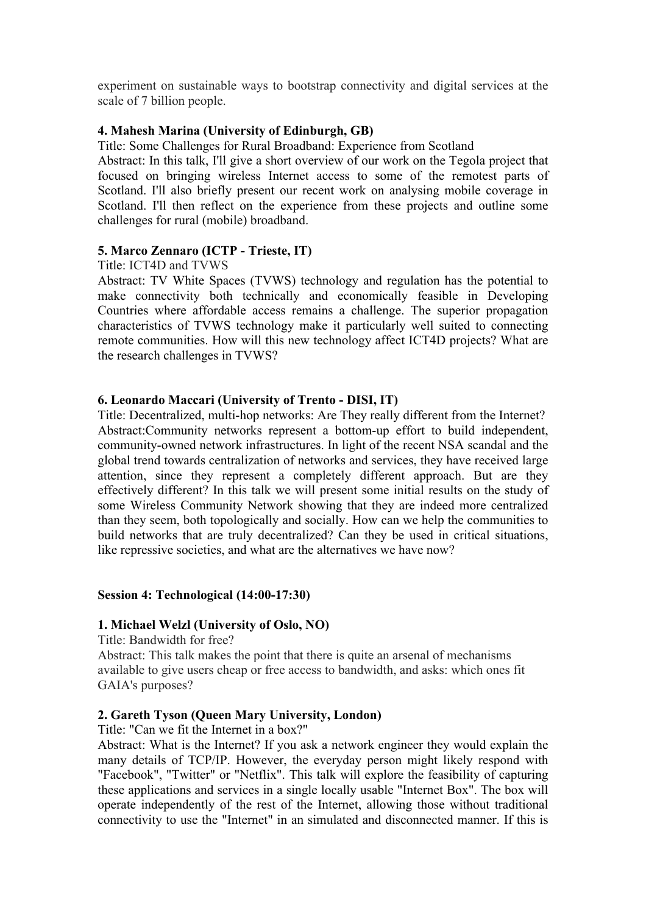experiment on sustainable ways to bootstrap connectivity and digital services at the scale of 7 billion people.

# **4. Mahesh Marina (University of Edinburgh, GB)**

Title: Some Challenges for Rural Broadband: Experience from Scotland

Abstract: In this talk, I'll give a short overview of our work on the Tegola project that focused on bringing wireless Internet access to some of the remotest parts of Scotland. I'll also briefly present our recent work on analysing mobile coverage in Scotland. I'll then reflect on the experience from these projects and outline some challenges for rural (mobile) broadband.

# **5. Marco Zennaro (ICTP - Trieste, IT)**

#### Title: ICT4D and TVWS

Abstract: TV White Spaces (TVWS) technology and regulation has the potential to make connectivity both technically and economically feasible in Developing Countries where affordable access remains a challenge. The superior propagation characteristics of TVWS technology make it particularly well suited to connecting remote communities. How will this new technology affect ICT4D projects? What are the research challenges in TVWS?

# **6. Leonardo Maccari (University of Trento - DISI, IT)**

Title: Decentralized, multi-hop networks: Are They really different from the Internet? Abstract:Community networks represent a bottom-up effort to build independent, community-owned network infrastructures. In light of the recent NSA scandal and the global trend towards centralization of networks and services, they have received large attention, since they represent a completely different approach. But are they effectively different? In this talk we will present some initial results on the study of some Wireless Community Network showing that they are indeed more centralized than they seem, both topologically and socially. How can we help the communities to build networks that are truly decentralized? Can they be used in critical situations, like repressive societies, and what are the alternatives we have now?

#### **Session 4: Technological (14:00-17:30)**

#### **1. Michael Welzl (University of Oslo, NO)**

Title: Bandwidth for free?

Abstract: This talk makes the point that there is quite an arsenal of mechanisms available to give users cheap or free access to bandwidth, and asks: which ones fit GAIA's purposes?

#### **2. Gareth Tyson (Queen Mary University, London)**

Title: "Can we fit the Internet in a box?"

Abstract: What is the Internet? If you ask a network engineer they would explain the many details of TCP/IP. However, the everyday person might likely respond with "Facebook", "Twitter" or "Netflix". This talk will explore the feasibility of capturing these applications and services in a single locally usable "Internet Box". The box will operate independently of the rest of the Internet, allowing those without traditional connectivity to use the "Internet" in an simulated and disconnected manner. If this is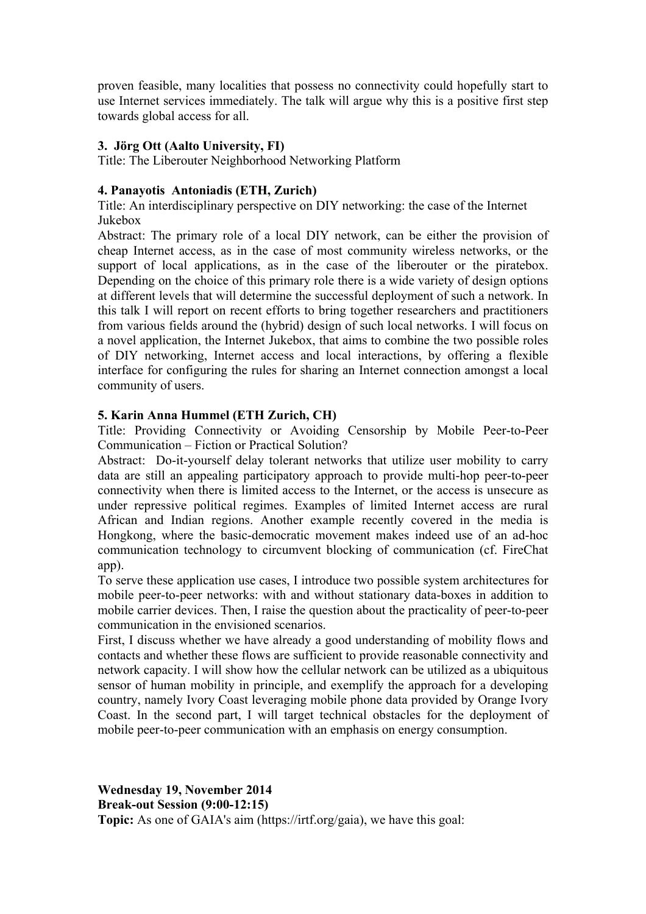proven feasible, many localities that possess no connectivity could hopefully start to use Internet services immediately. The talk will argue why this is a positive first step towards global access for all.

# **3. Jörg Ott (Aalto University, FI)**

Title: The Liberouter Neighborhood Networking Platform

# **4. Panayotis Antoniadis (ETH, Zurich)**

Title: An interdisciplinary perspective on DIY networking: the case of the Internet Jukebox

Abstract: The primary role of a local DIY network, can be either the provision of cheap Internet access, as in the case of most community wireless networks, or the support of local applications, as in the case of the liberouter or the piratebox. Depending on the choice of this primary role there is a wide variety of design options at different levels that will determine the successful deployment of such a network. In this talk I will report on recent efforts to bring together researchers and practitioners from various fields around the (hybrid) design of such local networks. I will focus on a novel application, the Internet Jukebox, that aims to combine the two possible roles of DIY networking, Internet access and local interactions, by offering a flexible interface for configuring the rules for sharing an Internet connection amongst a local community of users.

# **5. Karin Anna Hummel (ETH Zurich, CH)**

Title: Providing Connectivity or Avoiding Censorship by Mobile Peer-to-Peer Communication – Fiction or Practical Solution?

Abstract: Do-it-yourself delay tolerant networks that utilize user mobility to carry data are still an appealing participatory approach to provide multi-hop peer-to-peer connectivity when there is limited access to the Internet, or the access is unsecure as under repressive political regimes. Examples of limited Internet access are rural African and Indian regions. Another example recently covered in the media is Hongkong, where the basic-democratic movement makes indeed use of an ad-hoc communication technology to circumvent blocking of communication (cf. FireChat app).

To serve these application use cases, I introduce two possible system architectures for mobile peer-to-peer networks: with and without stationary data-boxes in addition to mobile carrier devices. Then, I raise the question about the practicality of peer-to-peer communication in the envisioned scenarios.

First, I discuss whether we have already a good understanding of mobility flows and contacts and whether these flows are sufficient to provide reasonable connectivity and network capacity. I will show how the cellular network can be utilized as a ubiquitous sensor of human mobility in principle, and exemplify the approach for a developing country, namely Ivory Coast leveraging mobile phone data provided by Orange Ivory Coast. In the second part, I will target technical obstacles for the deployment of mobile peer-to-peer communication with an emphasis on energy consumption.

**Wednesday 19, November 2014 Break-out Session (9:00-12:15) Topic:** As one of GAIA's aim (https://irtf.org/gaia), we have this goal: